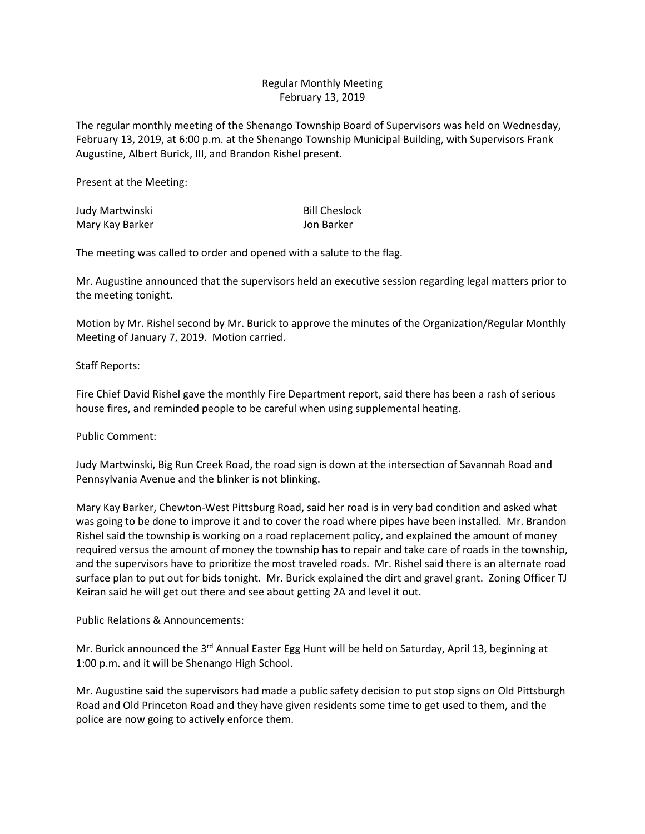## Regular Monthly Meeting February 13, 2019

The regular monthly meeting of the Shenango Township Board of Supervisors was held on Wednesday, February 13, 2019, at 6:00 p.m. at the Shenango Township Municipal Building, with Supervisors Frank Augustine, Albert Burick, III, and Brandon Rishel present.

Present at the Meeting:

| Judy Martwinski | <b>Bill Cheslock</b> |
|-----------------|----------------------|
| Mary Kay Barker | Jon Barker           |

The meeting was called to order and opened with a salute to the flag.

Mr. Augustine announced that the supervisors held an executive session regarding legal matters prior to the meeting tonight.

Motion by Mr. Rishel second by Mr. Burick to approve the minutes of the Organization/Regular Monthly Meeting of January 7, 2019. Motion carried.

Staff Reports:

Fire Chief David Rishel gave the monthly Fire Department report, said there has been a rash of serious house fires, and reminded people to be careful when using supplemental heating.

Public Comment:

Judy Martwinski, Big Run Creek Road, the road sign is down at the intersection of Savannah Road and Pennsylvania Avenue and the blinker is not blinking.

Mary Kay Barker, Chewton-West Pittsburg Road, said her road is in very bad condition and asked what was going to be done to improve it and to cover the road where pipes have been installed. Mr. Brandon Rishel said the township is working on a road replacement policy, and explained the amount of money required versus the amount of money the township has to repair and take care of roads in the township, and the supervisors have to prioritize the most traveled roads. Mr. Rishel said there is an alternate road surface plan to put out for bids tonight. Mr. Burick explained the dirt and gravel grant. Zoning Officer TJ Keiran said he will get out there and see about getting 2A and level it out.

Public Relations & Announcements:

Mr. Burick announced the 3<sup>rd</sup> Annual Easter Egg Hunt will be held on Saturday, April 13, beginning at 1:00 p.m. and it will be Shenango High School.

Mr. Augustine said the supervisors had made a public safety decision to put stop signs on Old Pittsburgh Road and Old Princeton Road and they have given residents some time to get used to them, and the police are now going to actively enforce them.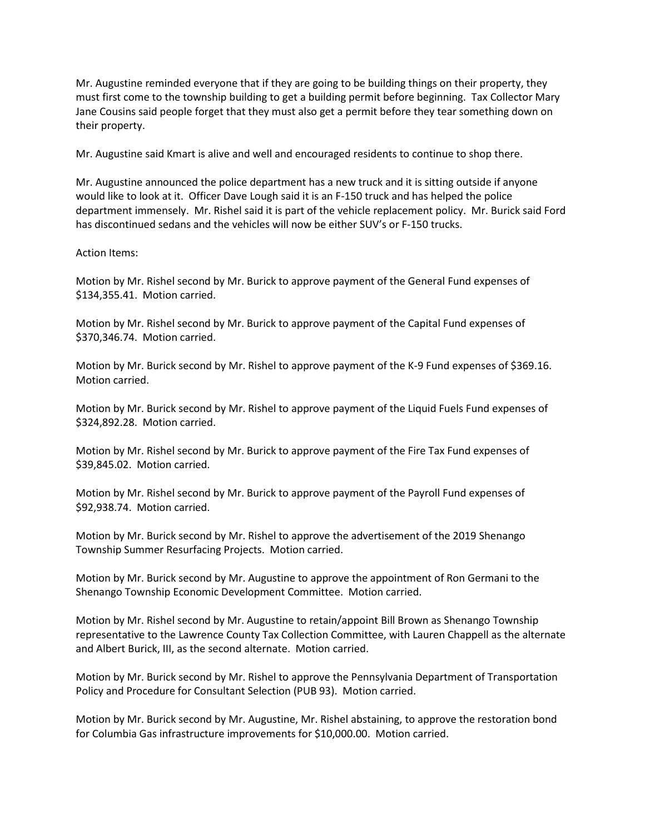Mr. Augustine reminded everyone that if they are going to be building things on their property, they must first come to the township building to get a building permit before beginning. Tax Collector Mary Jane Cousins said people forget that they must also get a permit before they tear something down on their property.

Mr. Augustine said Kmart is alive and well and encouraged residents to continue to shop there.

Mr. Augustine announced the police department has a new truck and it is sitting outside if anyone would like to look at it. Officer Dave Lough said it is an F-150 truck and has helped the police department immensely. Mr. Rishel said it is part of the vehicle replacement policy. Mr. Burick said Ford has discontinued sedans and the vehicles will now be either SUV's or F-150 trucks.

## Action Items:

Motion by Mr. Rishel second by Mr. Burick to approve payment of the General Fund expenses of \$134,355.41. Motion carried.

Motion by Mr. Rishel second by Mr. Burick to approve payment of the Capital Fund expenses of \$370,346.74. Motion carried.

Motion by Mr. Burick second by Mr. Rishel to approve payment of the K-9 Fund expenses of \$369.16. Motion carried.

Motion by Mr. Burick second by Mr. Rishel to approve payment of the Liquid Fuels Fund expenses of \$324,892.28. Motion carried.

Motion by Mr. Rishel second by Mr. Burick to approve payment of the Fire Tax Fund expenses of \$39,845.02. Motion carried.

Motion by Mr. Rishel second by Mr. Burick to approve payment of the Payroll Fund expenses of \$92,938.74. Motion carried.

Motion by Mr. Burick second by Mr. Rishel to approve the advertisement of the 2019 Shenango Township Summer Resurfacing Projects. Motion carried.

Motion by Mr. Burick second by Mr. Augustine to approve the appointment of Ron Germani to the Shenango Township Economic Development Committee. Motion carried.

Motion by Mr. Rishel second by Mr. Augustine to retain/appoint Bill Brown as Shenango Township representative to the Lawrence County Tax Collection Committee, with Lauren Chappell as the alternate and Albert Burick, III, as the second alternate. Motion carried.

Motion by Mr. Burick second by Mr. Rishel to approve the Pennsylvania Department of Transportation Policy and Procedure for Consultant Selection (PUB 93). Motion carried.

Motion by Mr. Burick second by Mr. Augustine, Mr. Rishel abstaining, to approve the restoration bond for Columbia Gas infrastructure improvements for \$10,000.00. Motion carried.